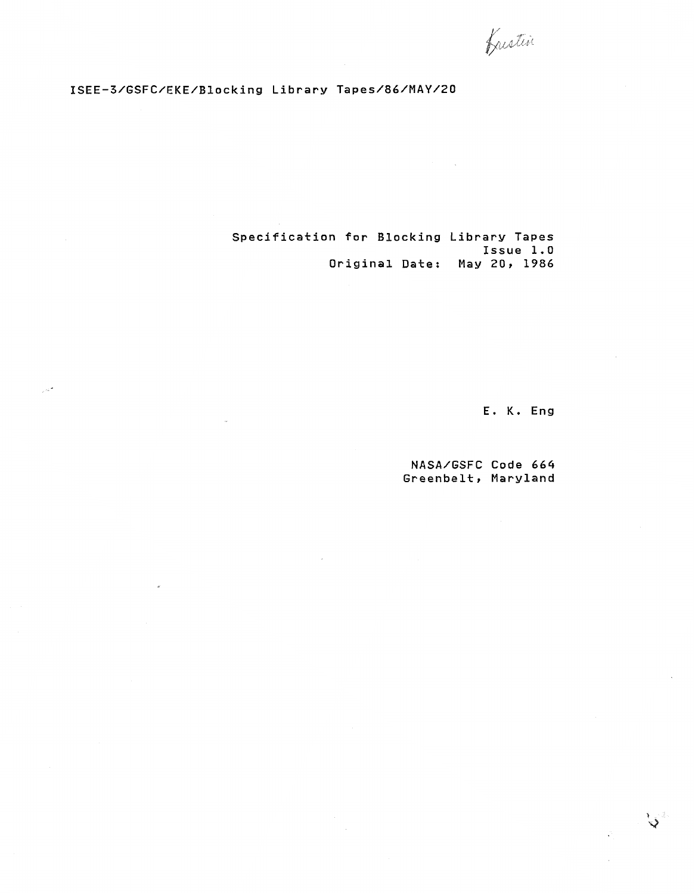frestin

### **ISEE-3/GSFC/EKE/Blocking Library Tapes/86/MAY/20**

**Specification** for **Blocking Library Tapes Issue 1.0 Original Date: May 20, 1986** 

**E. K. Eng** 

 $\mathcal{E}$ 

**NASAIGSFC Code 664 Greenbelt, Maryland**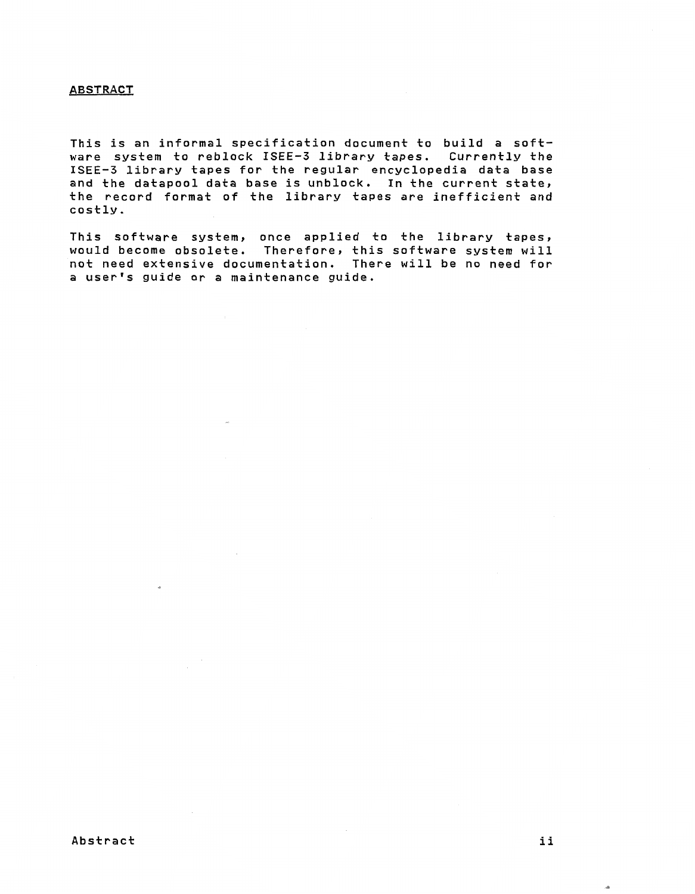#### **ABSTRACT**

**This is an informal specification document to build a software system to reblock ISEE-3 library tapes. Currently the ISEE-3 library tapes for the regular encyclopedia data base and the datapool data base is unblock. In the current state, the record format of the library tapes are inefficient and costly.** 

**This software system, once applied to the library tapes,**  would become obsolete. Therefore, this software system **not need extensive documentation. There will be no need for a user's guide** or **a maintenance guide.**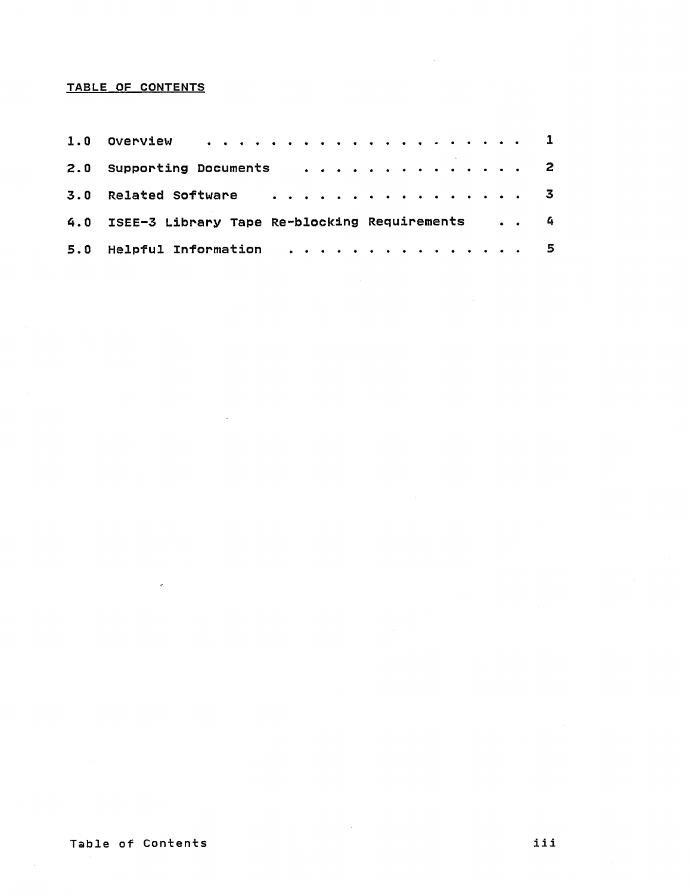### **TABLE OF CONTENTS**

| 1.0 Overview 1                                     |  |
|----------------------------------------------------|--|
| 2.0 Supporting Documents 2                         |  |
|                                                    |  |
| 4.0 ISEE-3 Library Tape Re-blocking Requirements 4 |  |
| 5.0 Helpful Information 5                          |  |

 $\sim$ 

 $\omega$ 

 $\sim$ 

 $\sim$ 

 $\sigma$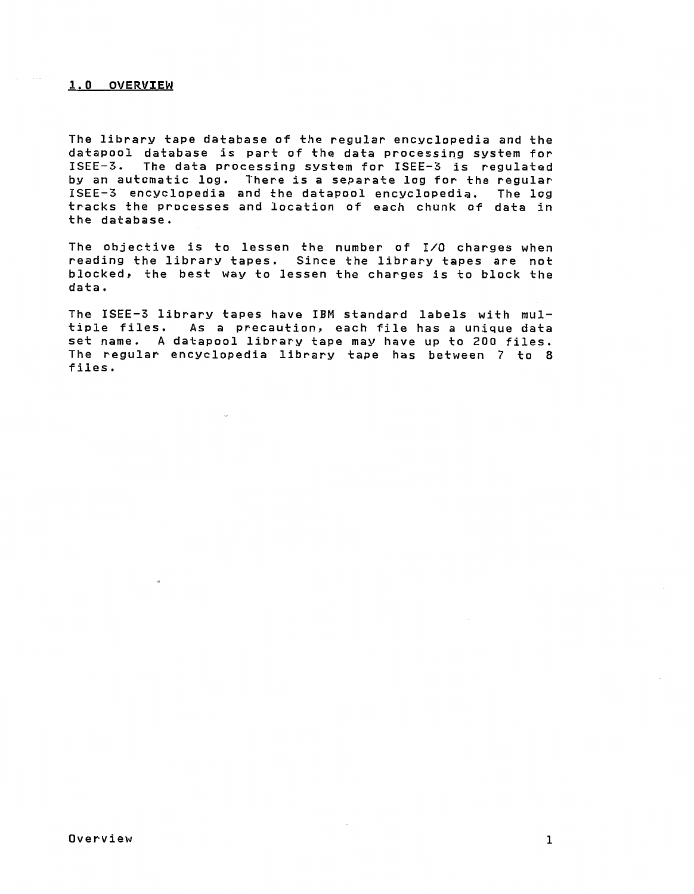### **1.0 OVERVIEW**

**The library tape database of the regular encyclopedia and the**  datapool database is part of the data processing system for ISEE-3. **The data processing system for** ISEE-3 **is regulated by an automatic log. There is a separate log for the regular**  ISEE-3 **encyclopedia and the datapool encyclopedia. The log tracks the processes and location of each chunk of data in the database.** 

**The objective is to lessen the number of** 110 **charges when reading the library tapes. Since the library tapes are not blocked, the best way to lessen the charges is to block the data.** 

The ISEE-3 library tapes have IBM standard labels with multiple files. As a precaution, each file has a unique data set name. A datapool library tape may have up to 200 files. The regular encyclopedia library tape has between 7 to 8 files.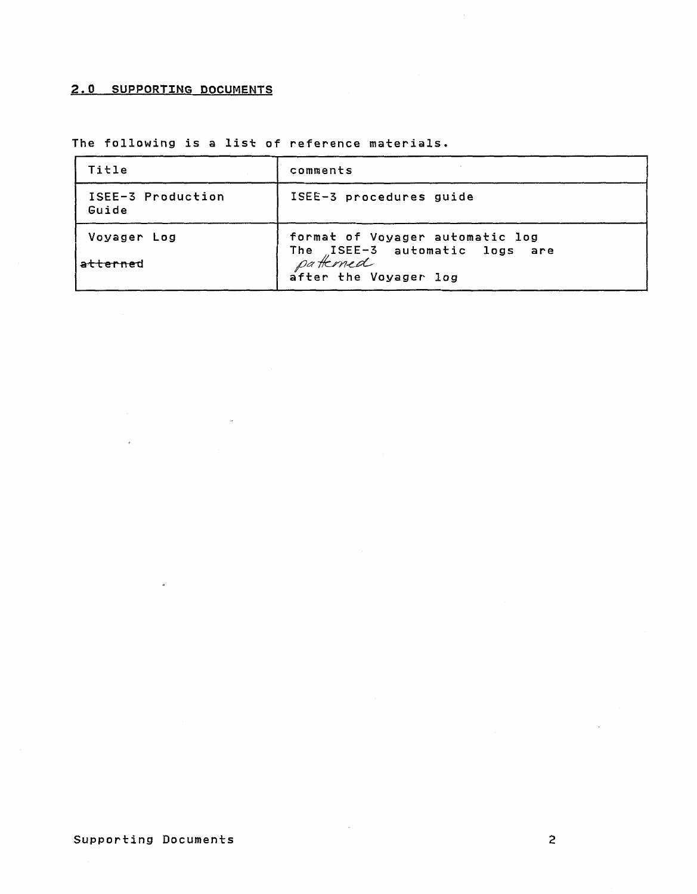## **2.0 SUPPORTING DOCUMENTS**

 $\sim$ 

| 2.0 SUPPORTING DOCUMENTS                        |                                                                                                        |  |  |  |
|-------------------------------------------------|--------------------------------------------------------------------------------------------------------|--|--|--|
| The following is a list of reference materials. |                                                                                                        |  |  |  |
| Title                                           | comments                                                                                               |  |  |  |
| ISEE-3 Production<br>Guide                      | ISEE-3 procedures guide                                                                                |  |  |  |
| Voyager Log<br>atterned                         | format of Voyager automatic log<br>The ISEE-3 automatic logs are<br>patterned<br>after the Voyager log |  |  |  |

 $\sim$ 

 $\sigma$ 

 $\bar{\epsilon}$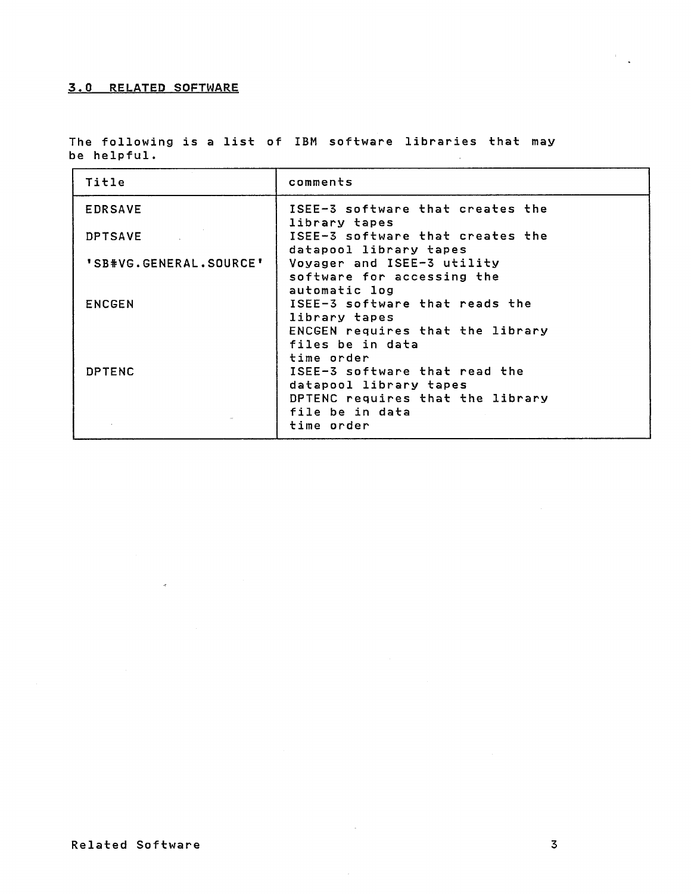### **3.0 RELATED SOFTWARE**

**The following is a list of IBM software libraries that may be helpful.**   $\sim$ 

| Title                  | comments                                                                                                       |
|------------------------|----------------------------------------------------------------------------------------------------------------|
| <b>EDRSAVE</b>         | ISEE-3 software that creates the<br>library tapes                                                              |
| <b>DPTSAVE</b>         | ISEE-3 software that creates the<br>datapool library tapes                                                     |
| 'SB#VG.GENERAL.SOURCE' | Voyager and ISEE-3 utility<br>software for accessing the                                                       |
| <b>ENCGEN</b>          | automatic log<br>ISEE-3 software that reads the<br>library tapes                                               |
|                        | ENCGEN requires that the library<br>files be in data<br>time order                                             |
| DPTENC                 | ISEE-3 software that read the<br>datapool library tapes<br>DPTENC requires that the library<br>file be in data |
|                        | time order                                                                                                     |

 $\alpha$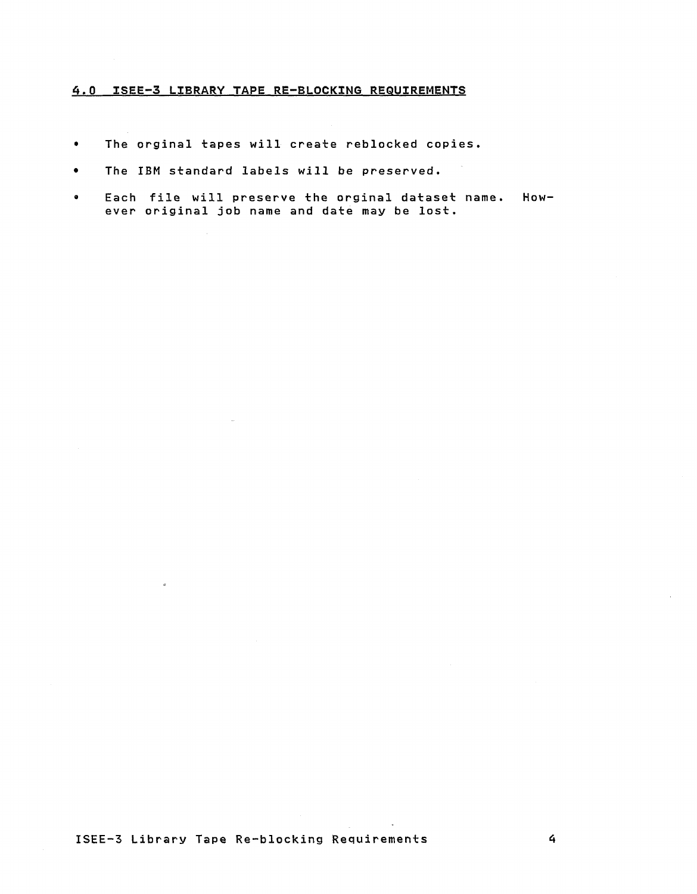### *4.9* **ISEE-3 LZBRARY TAPE RE-BLOCKXNG REQUIREMENTS**

- $\bullet$ The orginal tapes will create reblocked copies.
- **The IBM standard labels will be preserved.**   $\bullet$
- **Each file will preserve the orginal dataset name. However original job name and date may be lost.**

 $\alpha$